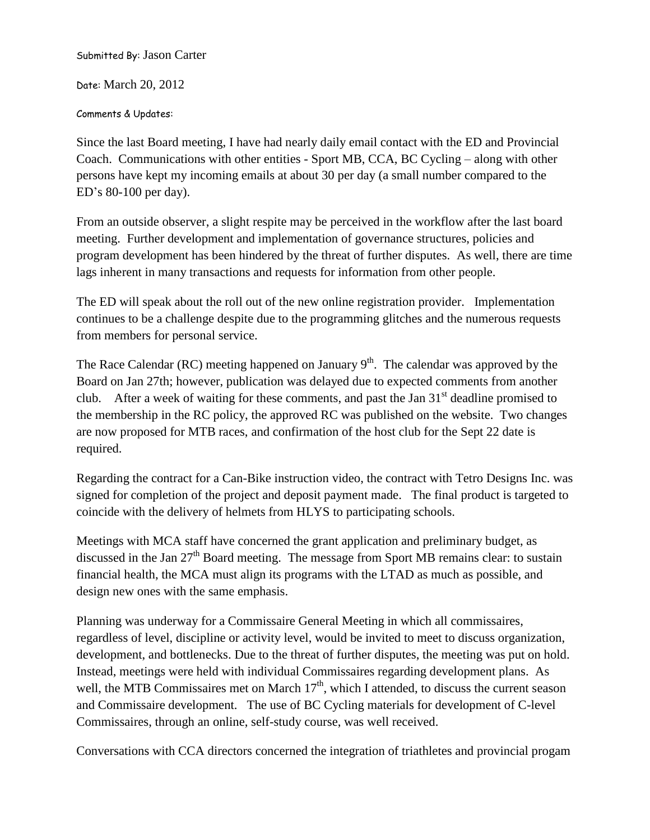Submitted By: Jason Carter

Date: March 20, 2012

Comments & Updates:

Since the last Board meeting, I have had nearly daily email contact with the ED and Provincial Coach. Communications with other entities - Sport MB, CCA, BC Cycling – along with other persons have kept my incoming emails at about 30 per day (a small number compared to the ED's 80-100 per day).

From an outside observer, a slight respite may be perceived in the workflow after the last board meeting. Further development and implementation of governance structures, policies and program development has been hindered by the threat of further disputes. As well, there are time lags inherent in many transactions and requests for information from other people.

The ED will speak about the roll out of the new online registration provider. Implementation continues to be a challenge despite due to the programming glitches and the numerous requests from members for personal service.

The Race Calendar (RC) meeting happened on January  $9<sup>th</sup>$ . The calendar was approved by the Board on Jan 27th; however, publication was delayed due to expected comments from another club. After a week of waiting for these comments, and past the Jan  $31<sup>st</sup>$  deadline promised to the membership in the RC policy, the approved RC was published on the website. Two changes are now proposed for MTB races, and confirmation of the host club for the Sept 22 date is required.

Regarding the contract for a Can-Bike instruction video, the contract with Tetro Designs Inc. was signed for completion of the project and deposit payment made. The final product is targeted to coincide with the delivery of helmets from HLYS to participating schools.

Meetings with MCA staff have concerned the grant application and preliminary budget, as discussed in the Jan 27<sup>th</sup> Board meeting. The message from Sport MB remains clear: to sustain financial health, the MCA must align its programs with the LTAD as much as possible, and design new ones with the same emphasis.

Planning was underway for a Commissaire General Meeting in which all commissaires, regardless of level, discipline or activity level, would be invited to meet to discuss organization, development, and bottlenecks. Due to the threat of further disputes, the meeting was put on hold. Instead, meetings were held with individual Commissaires regarding development plans. As well, the MTB Commissaires met on March 17<sup>th</sup>, which I attended, to discuss the current season and Commissaire development. The use of BC Cycling materials for development of C-level Commissaires, through an online, self-study course, was well received.

Conversations with CCA directors concerned the integration of triathletes and provincial progam